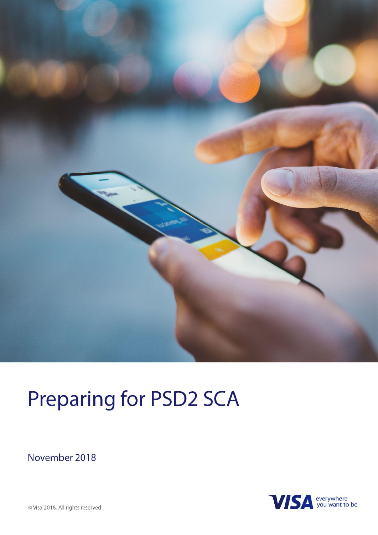

## **Preparing for PSD2 SCA**

November 2018



© Visa 2018. All rights reserved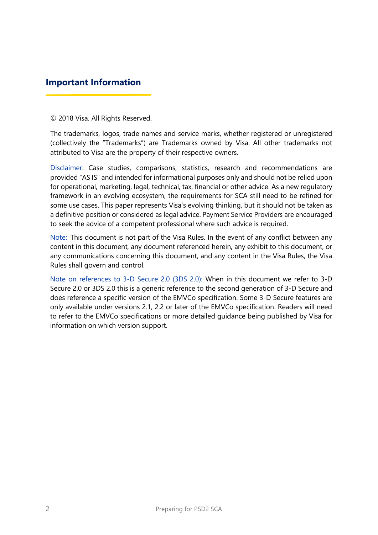#### **Important Information**

© 2018 Visa. All Rights Reserved.

The trademarks, logos, trade names and service marks, whether registered or unregistered (collectively the "Trademarks") are Trademarks owned by Visa. All other trademarks not attributed to Visa are the property of their respective owners.

Disclaimer: Case studies, comparisons, statistics, research and recommendations are provided "AS IS" and intended for informational purposes only and should not be relied upon for operational, marketing, legal, technical, tax, financial or other advice. As a new regulatory framework in an evolving ecosystem, the requirements for SCA still need to be refined for some use cases. This paper represents Visa's evolving thinking, but it should not be taken as a definitive position or considered as legal advice. Payment Service Providers are encouraged to seek the advice of a competent professional where such advice is required.

Note: This document is not part of the Visa Rules. In the event of any conflict between any content in this document, any document referenced herein, any exhibit to this document, or any communications concerning this document, and any content in the Visa Rules, the Visa Rules shall govern and control.

Note on references to 3-D Secure 2.0 (3DS 2.0): When in this document we refer to 3-D Secure 2.0 or 3DS 2.0 this is a generic reference to the second generation of 3-D Secure and does reference a specific version of the EMVCo specification. Some 3-D Secure features are only available under versions 2.1, 2.2 or later of the EMVCo specification. Readers will need to refer to the EMVCo specifications or more detailed guidance being published by Visa for information on which version support.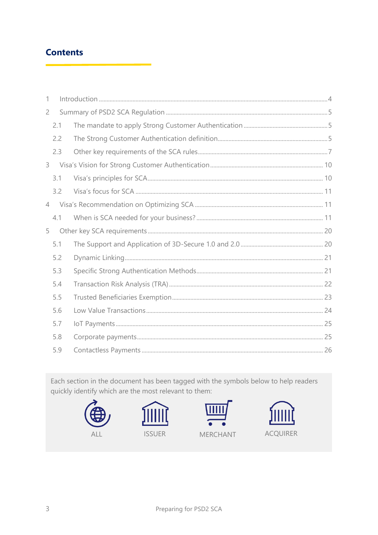#### **Contents**

| 1              |       |  |  |  |
|----------------|-------|--|--|--|
| $\overline{2}$ |       |  |  |  |
|                | 2.1   |  |  |  |
|                | 2.2   |  |  |  |
|                | 2.3   |  |  |  |
|                | $3 -$ |  |  |  |
|                | 3.1   |  |  |  |
|                | 3.2   |  |  |  |
| $\overline{4}$ |       |  |  |  |
|                | 4.1   |  |  |  |
| 5              |       |  |  |  |
|                | 5.1   |  |  |  |
|                | 5.2   |  |  |  |
|                | 5.3   |  |  |  |
|                | 5.4   |  |  |  |
|                | 5.5   |  |  |  |
|                | 5.6   |  |  |  |
|                | 5.7   |  |  |  |
|                | 5.8   |  |  |  |
|                | 5.9   |  |  |  |

Each section in the document has been tagged with the symbols below to help readers quickly identify which are the most relevant to them:

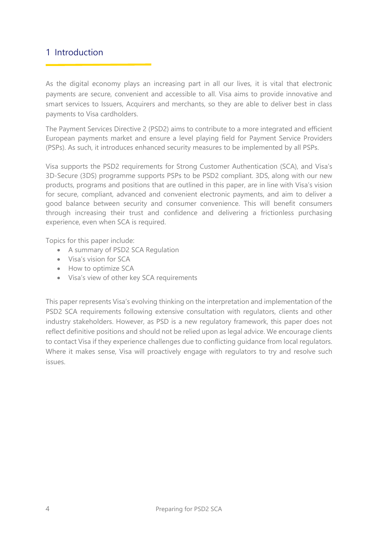#### <span id="page-3-0"></span>1 Introduction

As the digital economy plays an increasing part in all our lives, it is vital that electronic payments are secure, convenient and accessible to all. Visa aims to provide innovative and smart services to Issuers, Acquirers and merchants, so they are able to deliver best in class payments to Visa cardholders.

The Payment Services Directive 2 (PSD2) aims to contribute to a more integrated and efficient European payments market and ensure a level playing field for Payment Service Providers (PSPs). As such, it introduces enhanced security measures to be implemented by all PSPs.

Visa supports the PSD2 requirements for Strong Customer Authentication (SCA), and Visa's 3D-Secure (3DS) programme supports PSPs to be PSD2 compliant. 3DS, along with our new products, programs and positions that are outlined in this paper, are in line with Visa's vision for secure, compliant, advanced and convenient electronic payments, and aim to deliver a good balance between security and consumer convenience. This will benefit consumers through increasing their trust and confidence and delivering a frictionless purchasing experience, even when SCA is required.

Topics for this paper include:

- A summary of PSD2 SCA Regulation
- Visa's vision for SCA
- How to optimize SCA
- Visa's view of other key SCA requirements

This paper represents Visa's evolving thinking on the interpretation and implementation of the PSD2 SCA requirements following extensive consultation with regulators, clients and other industry stakeholders. However, as PSD is a new regulatory framework, this paper does not reflect definitive positions and should not be relied upon as legal advice. We encourage clients to contact Visa if they experience challenges due to conflicting guidance from local regulators. Where it makes sense. Visa will proactively engage with regulators to try and resolve such issues.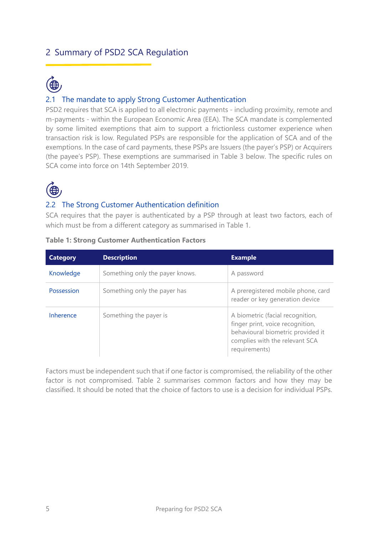### <span id="page-4-0"></span>2 Summary of PSD2 SCA Regulation



#### <span id="page-4-1"></span>2.1 The mandate to apply Strong Customer Authentication

PSD2 requires that SCA is applied to all electronic payments - including proximity, remote and m-payments - within the European Economic Area (EEA). The SCA mandate is complemented by some limited exemptions that aim to support a frictionless customer experience when transaction risk is low. Regulated PSPs are responsible for the application of SCA and of the exemptions. In the case of card payments, these PSPs are Issuers (the payer's PSP) or Acquirers (the payee's PSP). These exemptions are summarised in Table 3 below. The specific rules on SCA come into force on 14th September 2019.



#### <span id="page-4-2"></span>2.2 The Strong Customer Authentication definition

SCA requires that the payer is authenticated by a PSP through at least two factors, each of which must be from a different category as summarised in Table 1.

| <b>Category</b> | <b>Description</b>              | <b>Example</b>                                                                                                                                               |
|-----------------|---------------------------------|--------------------------------------------------------------------------------------------------------------------------------------------------------------|
| Knowledge       | Something only the payer knows. | A password                                                                                                                                                   |
| Possession      | Something only the payer has    | A preregistered mobile phone, card<br>reader or key generation device                                                                                        |
| Inherence       | Something the payer is          | A biometric (facial recognition,<br>finger print, voice recognition,<br>behavioural biometric provided it<br>complies with the relevant SCA<br>requirements) |

| <b>Table 1: Strong Customer Authentication Factors</b> |
|--------------------------------------------------------|
|--------------------------------------------------------|

Factors must be independent such that if one factor is compromised, the reliability of the other factor is not compromised. Table 2 summarises common factors and how they may be classified. It should be noted that the choice of factors to use is a decision for individual PSPs.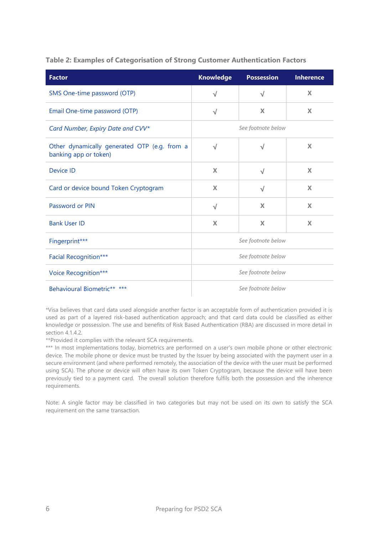**Table 2: Examples of Categorisation of Strong Customer Authentication Factors**

| <b>Factor</b>                                                         | <b>Knowledge</b>   | <b>Possession</b>  | <b>Inherence</b>          |
|-----------------------------------------------------------------------|--------------------|--------------------|---------------------------|
| SMS One-time password (OTP)                                           | $\sqrt{ }$         | $\sqrt{}$          | X                         |
| Email One-time password (OTP)                                         | $\sqrt{}$          | X                  | X                         |
| Card Number, Expiry Date and CVV*                                     |                    | See footnote below |                           |
| Other dynamically generated OTP (e.g. from a<br>banking app or token) | $\sqrt{}$          | $\sqrt{}$          | X                         |
| Device ID                                                             | X                  | $\sqrt{}$          | X                         |
| Card or device bound Token Cryptogram                                 | X                  | $\sqrt{}$          | X                         |
| Password or PIN                                                       | $\sqrt{}$          | $\mathbf x$        | $\boldsymbol{\mathsf{X}}$ |
| <b>Bank User ID</b>                                                   | X                  | X                  | X                         |
| Fingerprint***                                                        |                    | See footnote below |                           |
| Facial Recognition***                                                 | See footnote below |                    |                           |
| Voice Recognition***                                                  | See footnote below |                    |                           |
| Behavioural Biometric** ***                                           |                    | See footnote below |                           |

\*Visa believes that card data used alongside another factor is an acceptable form of authentication provided it is used as part of a layered risk-based authentication approach; and that card data could be classified as either knowledge or possession. The use and benefits of Risk Based Authentication (RBA) are discussed in more detail in section 4.1.4.2.

\*\*Provided it complies with the relevant SCA requirements.

\*\*\* In most implementations today, biometrics are performed on a user's own mobile phone or other electronic device. The mobile phone or device must be trusted by the Issuer by being associated with the payment user in a secure environment (and where performed remotely, the association of the device with the user must be performed using SCA). The phone or device will often have its own Token Cryptogram, because the device will have been previously tied to a payment card. The overall solution therefore fulfils both the possession and the inherence requirements.

Note: A single factor may be classified in two categories but may not be used on its own to satisfy the SCA requirement on the same transaction.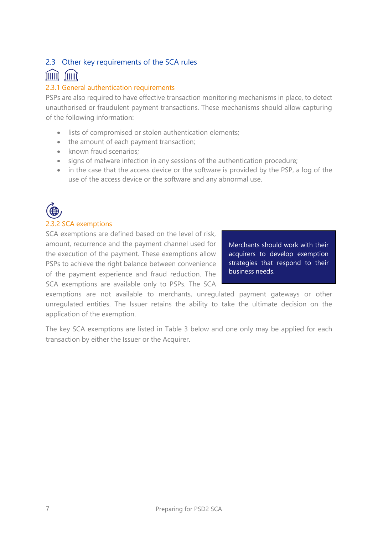#### <span id="page-6-0"></span>2.3 Other key requirements of the SCA rules

#### <u>fillit</u> **fillill**

#### 2.3.1 General authentication requirements

PSPs are also required to have effective transaction monitoring mechanisms in place, to detect unauthorised or fraudulent payment transactions. These mechanisms should allow capturing of the following information:

- lists of compromised or stolen authentication elements;
- the amount of each payment transaction;
- known fraud scenarios:
- signs of malware infection in any sessions of the authentication procedure;
- in the case that the access device or the software is provided by the PSP, a log of the use of the access device or the software and any abnormal use.



#### 2.3.2 SCA exemptions

SCA exemptions are defined based on the level of risk, amount, recurrence and the payment channel used for the execution of the payment. These exemptions allow PSPs to achieve the right balance between convenience of the payment experience and fraud reduction. The SCA exemptions are available only to PSPs. The SCA

Merchants should work with their acquirers to develop exemption strategies that respond to their business needs.

exemptions are not available to merchants, unregulated payment gateways or other unregulated entities. The Issuer retains the ability to take the ultimate decision on the application of the exemption.

The key SCA exemptions are listed in Table 3 below and one only may be applied for each transaction by either the Issuer or the Acquirer.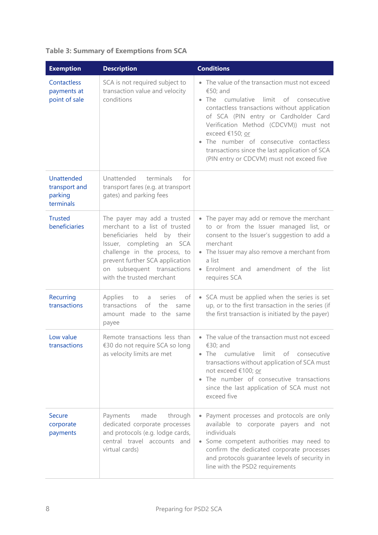| <b>Exemption</b>                                           | <b>Description</b>                                                                                                                                                                                                                                           | <b>Conditions</b>                                                                                                                                                                                                                                                                                                                                                                                          |
|------------------------------------------------------------|--------------------------------------------------------------------------------------------------------------------------------------------------------------------------------------------------------------------------------------------------------------|------------------------------------------------------------------------------------------------------------------------------------------------------------------------------------------------------------------------------------------------------------------------------------------------------------------------------------------------------------------------------------------------------------|
| Contactless<br>payments at<br>point of sale                | SCA is not required subject to<br>transaction value and velocity<br>conditions                                                                                                                                                                               | • The value of the transaction must not exceed<br>€50; and<br>cumulative limit of consecutive<br>$\bullet$ The<br>contactless transactions without application<br>of SCA (PIN entry or Cardholder Card<br>Verification Method (CDCVM)) must not<br>exceed €150; or<br>The number of consecutive contactless<br>transactions since the last application of SCA<br>(PIN entry or CDCVM) must not exceed five |
| <b>Unattended</b><br>transport and<br>parking<br>terminals | Unattended<br>terminals<br>for<br>transport fares (e.g. at transport<br>gates) and parking fees                                                                                                                                                              |                                                                                                                                                                                                                                                                                                                                                                                                            |
| <b>Trusted</b><br>beneficiaries                            | The payer may add a trusted<br>merchant to a list of trusted<br>beneficiaries held<br>by their<br>Issuer, completing an SCA<br>challenge in the process, to<br>prevent further SCA application<br>subsequent transactions<br>on<br>with the trusted merchant | • The payer may add or remove the merchant<br>to or from the Issuer managed list, or<br>consent to the Issuer's suggestion to add a<br>merchant<br>• The Issuer may also remove a merchant from<br>a list<br>• Enrolment and amendment of the list<br>requires SCA                                                                                                                                         |
| Recurring<br>transactions                                  | Applies<br>to<br>series<br>of<br>a<br>of<br>transactions<br>the<br>same<br>amount made to the same<br>payee                                                                                                                                                  | • SCA must be applied when the series is set<br>up, or to the first transaction in the series (if<br>the first transaction is initiated by the payer)                                                                                                                                                                                                                                                      |
| Low value<br>transactions                                  | Remote transactions less than<br>€30 do not require SCA so long<br>as velocity limits are met                                                                                                                                                                | • The value of the transaction must not exceed<br>€30; and<br>cumulative<br>limit<br>$\bullet$ The<br>of consecutive<br>transactions without application of SCA must<br>not exceed €100; or<br>• The number of consecutive transactions<br>since the last application of SCA must not<br>exceed five                                                                                                       |
| <b>Secure</b><br>corporate<br>payments                     | Payments<br>made through<br>dedicated corporate processes<br>and protocols (e.g. lodge cards,<br>central travel accounts and<br>virtual cards)                                                                                                               | Payment processes and protocols are only<br>available to corporate payers and not<br>individuals<br>• Some competent authorities may need to<br>confirm the dedicated corporate processes<br>and protocols guarantee levels of security in<br>line with the PSD2 requirements                                                                                                                              |

#### **Table 3: Summary of Exemptions from SCA**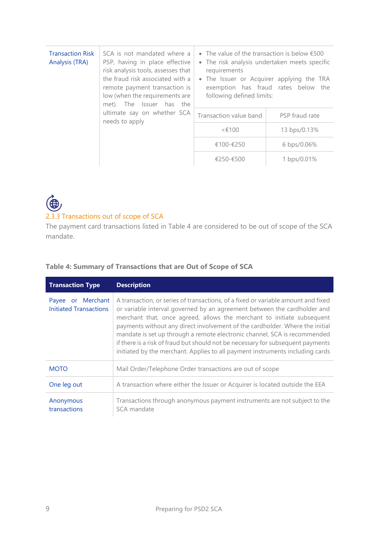| <b>Transaction Risk</b><br>Analysis (TRA) | SCA is not mandated where a<br>PSP, having in place effective<br>risk analysis tools, assesses that<br>the fraud risk associated with a<br>remote payment transaction is<br>low (when the requirements are<br>met). The Issuer has the<br>ultimate say on whether SCA<br>needs to apply | • The value of the transaction is below $\epsilon$ 500<br>• The risk analysis undertaken meets specific<br>requirements<br>• The Issuer or Acquirer applying the TRA<br>exemption has fraud rates below the<br>following defined limits: |                |
|-------------------------------------------|-----------------------------------------------------------------------------------------------------------------------------------------------------------------------------------------------------------------------------------------------------------------------------------------|------------------------------------------------------------------------------------------------------------------------------------------------------------------------------------------------------------------------------------------|----------------|
|                                           |                                                                                                                                                                                                                                                                                         | Transaction value band                                                                                                                                                                                                                   | PSP fraud rate |
|                                           |                                                                                                                                                                                                                                                                                         | < 100                                                                                                                                                                                                                                    | 13 bps/0.13%   |
|                                           |                                                                                                                                                                                                                                                                                         | €100-€250                                                                                                                                                                                                                                | 6 bps/0.06%    |
|                                           |                                                                                                                                                                                                                                                                                         | €250-€500                                                                                                                                                                                                                                | 1 bps/0.01%    |

## $\bigoplus$ 2.3.3 Transactions out of scope of SCA

The payment card transactions listed in Table 4 are considered to be out of scope of the SCA mandate.

#### **Table 4: Summary of Transactions that are Out of Scope of SCA**

| <b>Transaction Type</b>                               | <b>Description</b>                                                                                                                                                                                                                                                                                                                                                                                                                                                                                                                                                       |
|-------------------------------------------------------|--------------------------------------------------------------------------------------------------------------------------------------------------------------------------------------------------------------------------------------------------------------------------------------------------------------------------------------------------------------------------------------------------------------------------------------------------------------------------------------------------------------------------------------------------------------------------|
| or Merchant<br>Payee<br><b>Initiated Transactions</b> | A transaction, or series of transactions, of a fixed or variable amount and fixed<br>or variable interval governed by an agreement between the cardholder and<br>merchant that, once agreed, allows the merchant to initiate subsequent<br>payments without any direct involvement of the cardholder. Where the initial<br>mandate is set up through a remote electronic channel, SCA is recommended<br>if there is a risk of fraud but should not be necessary for subsequent payments<br>initiated by the merchant. Applies to all payment instruments including cards |
| <b>MOTO</b>                                           | Mail Order/Telephone Order transactions are out of scope                                                                                                                                                                                                                                                                                                                                                                                                                                                                                                                 |
| One leg out                                           | A transaction where either the Issuer or Acquirer is located outside the EEA                                                                                                                                                                                                                                                                                                                                                                                                                                                                                             |
| Anonymous<br>transactions                             | Transactions through anonymous payment instruments are not subject to the<br>SCA mandate                                                                                                                                                                                                                                                                                                                                                                                                                                                                                 |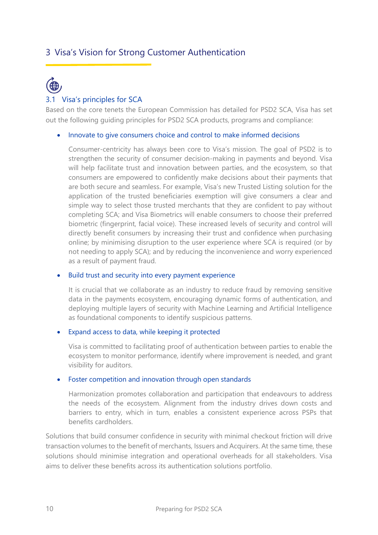#### <span id="page-9-0"></span>3 Visa's Vision for Strong Customer Authentication

## $\bigoplus$ 3.1 Visa's principles for SCA

<span id="page-9-1"></span>Based on the core tenets the European Commission has detailed for PSD2 SCA, Visa has set out the following guiding principles for PSD2 SCA products, programs and compliance:

#### • Innovate to give consumers choice and control to make informed decisions

Consumer-centricity has always been core to Visa's mission. The goal of PSD2 is to strengthen the security of consumer decision-making in payments and beyond. Visa will help facilitate trust and innovation between parties, and the ecosystem, so that consumers are empowered to confidently make decisions about their payments that are both secure and seamless. For example, Visa's new Trusted Listing solution for the application of the trusted beneficiaries exemption will give consumers a clear and simple way to select those trusted merchants that they are confident to pay without completing SCA; and Visa Biometrics will enable consumers to choose their preferred biometric (fingerprint, facial voice). These increased levels of security and control will directly benefit consumers by increasing their trust and confidence when purchasing online; by minimising disruption to the user experience where SCA is required (or by not needing to apply SCA); and by reducing the inconvenience and worry experienced as a result of payment fraud.

#### • Build trust and security into every payment experience

It is crucial that we collaborate as an industry to reduce fraud by removing sensitive data in the payments ecosystem, encouraging dynamic forms of authentication, and deploying multiple layers of security with Machine Learning and Artificial Intelligence as foundational components to identify suspicious patterns.

#### • Expand access to data, while keeping it protected

Visa is committed to facilitating proof of authentication between parties to enable the ecosystem to monitor performance, identify where improvement is needed, and grant visibility for auditors.

#### • Foster competition and innovation through open standards

Harmonization promotes collaboration and participation that endeavours to address the needs of the ecosystem. Alignment from the industry drives down costs and barriers to entry, which in turn, enables a consistent experience across PSPs that benefits cardholders.

Solutions that build consumer confidence in security with minimal checkout friction will drive transaction volumes to the benefit of merchants, Issuers and Acquirers. At the same time, these solutions should minimise integration and operational overheads for all stakeholders. Visa aims to deliver these benefits across its authentication solutions portfolio.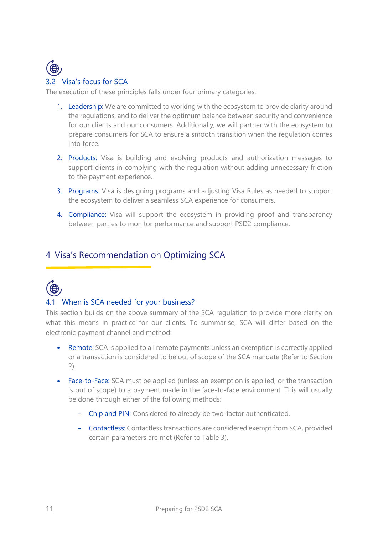

<span id="page-10-0"></span>The execution of these principles falls under four primary categories:

- 1. Leadership: We are committed to working with the ecosystem to provide clarity around the regulations, and to deliver the optimum balance between security and convenience for our clients and our consumers. Additionally, we will partner with the ecosystem to prepare consumers for SCA to ensure a smooth transition when the regulation comes into force.
- 2. Products: Visa is building and evolving products and authorization messages to support clients in complying with the regulation without adding unnecessary friction to the payment experience.
- 3. Programs: Visa is designing programs and adjusting Visa Rules as needed to support the ecosystem to deliver a seamless SCA experience for consumers.
- 4. Compliance: Visa will support the ecosystem in providing proof and transparency between parties to monitor performance and support PSD2 compliance.

#### <span id="page-10-1"></span>4 Visa's Recommendation on Optimizing SCA



#### <span id="page-10-2"></span>4.1 When is SCA needed for your business?

This section builds on the above summary of the SCA regulation to provide more clarity on what this means in practice for our clients. To summarise, SCA will differ based on the electronic payment channel and method:

- Remote: SCA is applied to all remote payments unless an exemption is correctly applied or a transaction is considered to be out of scope of the SCA mandate (Refer to Section 2).
- Face-to-Face: SCA must be applied (unless an exemption is applied, or the transaction is out of scope) to a payment made in the face-to-face environment. This will usually be done through either of the following methods:
	- Chip and PIN: Considered to already be two-factor authenticated.
	- Contactless: Contactless transactions are considered exempt from SCA, provided certain parameters are met (Refer to Table 3).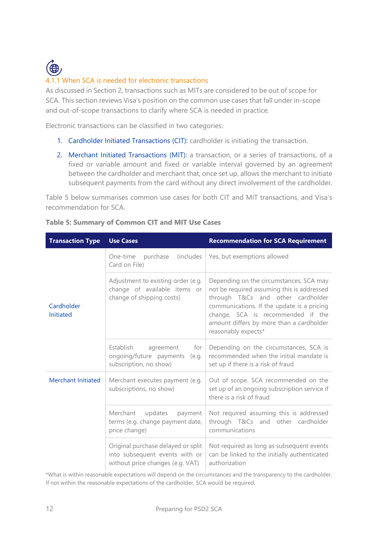

As discussed in Section 2, transactions such as MITs are considered to be out of scope for SCA. This section reviews Visa's position on the common use cases that fall under in-scope and out-of-scope transactions to clarify where SCA is needed in practice.

Electronic transactions can be classified in two categories:

- 1. Cardholder Initiated Transactions (CIT): cardholder is initiating the transaction.
- 2. Merchant Initiated Transactions (MIT): a transaction, or a series of transactions, of a fixed or variable amount and fixed or variable interval governed by an agreement between the cardholder and merchant that, once set up, allows the merchant to initiate subsequent payments from the card without any direct involvement of the cardholder.

Table 5 below summarises common use cases for both CIT and MIT transactions, and Visa's recommendation for SCA.

| <b>Transaction Type</b>   | <b>Use Cases</b>                                                                                         | <b>Recommendation for SCA Requirement</b>                                                                                                                                                                                                                                        |  |
|---------------------------|----------------------------------------------------------------------------------------------------------|----------------------------------------------------------------------------------------------------------------------------------------------------------------------------------------------------------------------------------------------------------------------------------|--|
|                           | <i>(includes)</i><br>One-time<br>purchase<br>Card on File)                                               | Yes, but exemptions allowed                                                                                                                                                                                                                                                      |  |
| Cardholder<br>Initiated   | Adjustment to existing order (e.g.<br>change of available items or<br>change of shipping costs)          | Depending on the circumstances, SCA may<br>not be required assuming this is addressed<br>through T&Cs and other cardholder<br>communications. If the update is a pricing<br>change, SCA is recommended if the<br>amount differs by more than a cardholder<br>reasonably expects* |  |
|                           | Establish<br>agreement<br>for<br>ongoing/future payments<br>(e.g.<br>subscription, no show)              | Depending on the circumstances, SCA is<br>recommended when the initial mandate is<br>set up if there is a risk of fraud                                                                                                                                                          |  |
| <b>Merchant Initiated</b> | Merchant executes payment (e.g.<br>subscriptions, no show)                                               | Out of scope. SCA recommended on the<br>set up of an ongoing subscription service if<br>there is a risk of fraud                                                                                                                                                                 |  |
|                           | updates<br>Merchant<br>payment<br>terms (e.g. change payment date,<br>price change)                      | Not required assuming this is addressed<br>through T&Cs and other cardholder<br>communications                                                                                                                                                                                   |  |
|                           | Original purchase delayed or split<br>into subsequent events with or<br>without price changes (e.g. VAT) | Not required as long as subsequent events<br>can be linked to the initially authenticated<br>authorization                                                                                                                                                                       |  |

**Table 5: Summary of Common CIT and MIT Use Cases** 

\*What is within reasonable expectations will depend on the circumstances and the transparency to the cardholder. If not within the reasonable expectations of the cardholder, SCA would be required.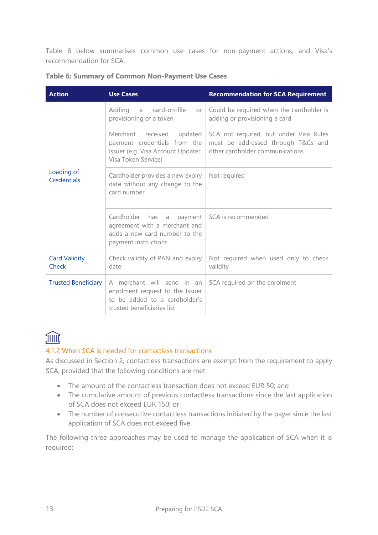Table 6 below summarises common use cases for non-payment actions, and Visa's recommendation for SCA.

| <b>Action</b>                 | <b>Use Cases</b>                                                                                                             | <b>Recommendation for SCA Requirement</b>                                                                       |
|-------------------------------|------------------------------------------------------------------------------------------------------------------------------|-----------------------------------------------------------------------------------------------------------------|
|                               | card-on-file<br>Adding a<br>or<br>provisioning of a token                                                                    | Could be required when the cardholder is<br>adding or provisioning a card                                       |
|                               | received<br>Merchant<br>updated<br>payment credentials from the<br>Issuer (e.g. Visa Account Updater,<br>Visa Token Service) | SCA not required, but under Visa Rules<br>must be addressed through T&Cs and<br>other cardholder communications |
| Loading of<br>Credentials     | Cardholder provides a new expiry<br>date without any change to the<br>card number                                            | Not required                                                                                                    |
|                               | Cardholder<br>has a payment<br>agreement with a merchant and<br>adds a new card number to the<br>payment instructions        | SCA is recommended                                                                                              |
| <b>Card Validity</b><br>Check | Check validity of PAN and expiry<br>date                                                                                     | Not required when used only to check<br>validity                                                                |
| <b>Trusted Beneficiary</b>    | A merchant will send in an<br>enrolment request to the Issuer<br>to be added to a cardholder's<br>trusted beneficiaries list | SCA required on the enrolment                                                                                   |

|  | Table 6: Summary of Common Non-Payment Use Cases |
|--|--------------------------------------------------|
|  |                                                  |

### JIIIII

#### 4.1.2 When SCA is needed for contactless transactions

As discussed in Section 2, contactless transactions are exempt from the requirement to apply SCA, provided that the following conditions are met:

- The amount of the contactless transaction does not exceed EUR 50; and
- The cumulative amount of previous contactless transactions since the last application of SCA does not exceed EUR 150; or
- The number of consecutive contactless transactions initiated by the payer since the last application of SCA does not exceed five.

The following three approaches may be used to manage the application of SCA when it is required: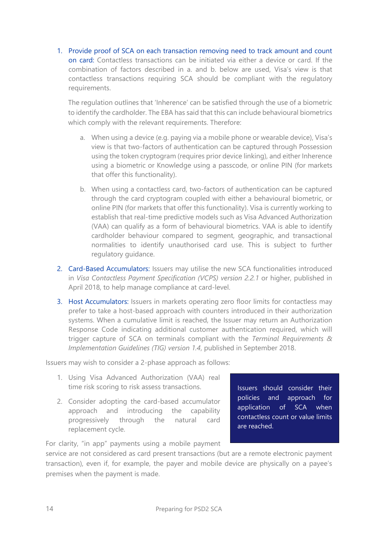1. Provide proof of SCA on each transaction removing need to track amount and count on card: Contactless transactions can be initiated via either a device or card. If the combination of factors described in a. and b. below are used, Visa's view is that contactless transactions requiring SCA should be compliant with the regulatory requirements.

The regulation outlines that 'Inherence' can be satisfied through the use of a biometric to identify the cardholder. The EBA has said that this can include behavioural biometrics which comply with the relevant requirements. Therefore:

- a. When using a device (e.g. paying via a mobile phone or wearable device), Visa's view is that two-factors of authentication can be captured through Possession using the token cryptogram (requires prior device linking), and either Inherence using a biometric or Knowledge using a passcode, or online PIN (for markets that offer this functionality).
- b. When using a contactless card, two-factors of authentication can be captured through the card cryptogram coupled with either a behavioural biometric, or online PIN (for markets that offer this functionality). Visa is currently working to establish that real-time predictive models such as Visa Advanced Authorization (VAA) can qualify as a form of behavioural biometrics. VAA is able to identify cardholder behaviour compared to segment, geographic, and transactional normalities to identify unauthorised card use. This is subject to further regulatory guidance.
- 2. Card-Based Accumulators: Issuers may utilise the new SCA functionalities introduced in *Visa Contactless Payment Specification (VCPS) version 2.2.1* or higher, published in April 2018, to help manage compliance at card-level.
- 3. Host Accumulators: Issuers in markets operating zero floor limits for contactless may prefer to take a host-based approach with counters introduced in their authorization systems. When a cumulative limit is reached, the Issuer may return an Authorization Response Code indicating additional customer authentication required, which will trigger capture of SCA on terminals compliant with the *Terminal Requirements & Implementation Guidelines (TIG) version 1.4*, published in September 2018.

Issuers may wish to consider a 2-phase approach as follows:

- 1. Using Visa Advanced Authorization (VAA) real time risk scoring to risk assess transactions.
- 2. Consider adopting the card-based accumulator approach and introducing the capability progressively through the natural card replacement cycle.

Issuers should consider their policies and approach for application of SCA when contactless count or value limits are reached.

For clarity, "in app" payments using a mobile payment

service are not considered as card present transactions (but are a remote electronic payment transaction), even if, for example, the payer and mobile device are physically on a payee's premises when the payment is made.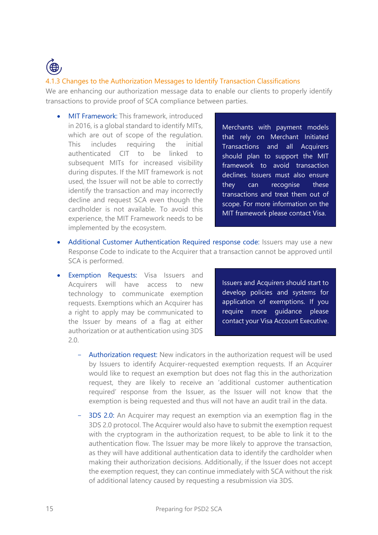

#### 4.1.3 Changes to the Authorization Messages to Identify Transaction Classifications

We are enhancing our authorization message data to enable our clients to properly identify transactions to provide proof of SCA compliance between parties.

• MIT Framework: This framework, introduced in 2016, is a global standard to identify MITs, which are out of scope of the regulation. This includes requiring the initial authenticated CIT to be linked to subsequent MITs for increased visibility during disputes. If the MIT framework is not used, the Issuer will not be able to correctly identify the transaction and may incorrectly decline and request SCA even though the cardholder is not available. To avoid this experience, the MIT Framework needs to be implemented by the ecosystem.

Merchants with payment models that rely on Merchant Initiated Transactions and all Acquirers should plan to support the MIT framework to avoid transaction declines. Issuers must also ensure they can recognise these transactions and treat them out of scope. For more information on the MIT framework please contact Visa.

- Additional Customer Authentication Required response code: Issuers may use a new Response Code to indicate to the Acquirer that a transaction cannot be approved until SCA is performed.
- Exemption Requests: Visa Issuers and Acquirers will have access to new technology to communicate exemption requests. Exemptions which an Acquirer has a right to apply may be communicated to the Issuer by means of a flag at either authorization or at authentication using 3DS 2.0.

Issuers and Acquirers should start to develop policies and systems for application of exemptions. If you require more guidance please contact your Visa Account Executive.

- Authorization request: New indicators in the authorization request will be used by Issuers to identify Acquirer-requested exemption requests. If an Acquirer would like to request an exemption but does not flag this in the authorization request, they are likely to receive an 'additional customer authentication required' response from the Issuer, as the Issuer will not know that the exemption is being requested and thus will not have an audit trail in the data.
- 3DS 2.0: An Acquirer may request an exemption via an exemption flag in the 3DS 2.0 protocol. The Acquirer would also have to submit the exemption request with the cryptogram in the authorization request, to be able to link it to the authentication flow. The Issuer may be more likely to approve the transaction, as they will have additional authentication data to identify the cardholder when making their authorization decisions. Additionally, if the Issuer does not accept the exemption request, they can continue immediately with SCA without the risk of additional latency caused by requesting a resubmission via 3DS.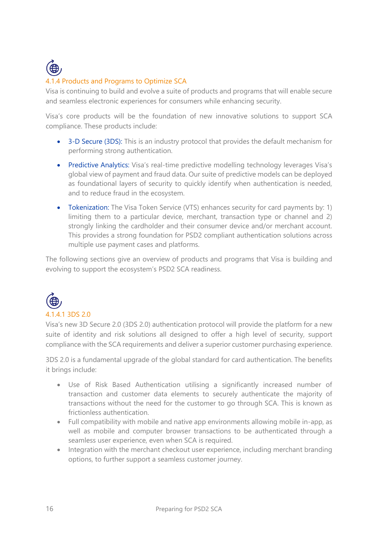

#### 4.1.4 Products and Programs to Optimize SCA

Visa is continuing to build and evolve a suite of products and programs that will enable secure and seamless electronic experiences for consumers while enhancing security.

Visa's core products will be the foundation of new innovative solutions to support SCA compliance. These products include:

- 3-D Secure (3DS): This is an industry protocol that provides the default mechanism for performing strong authentication.
- Predictive Analytics: Visa's real-time predictive modelling technology leverages Visa's global view of payment and fraud data. Our suite of predictive models can be deployed as foundational layers of security to quickly identify when authentication is needed, and to reduce fraud in the ecosystem.
- Tokenization: The Visa Token Service (VTS) enhances security for card payments by: 1) limiting them to a particular device, merchant, transaction type or channel and 2) strongly linking the cardholder and their consumer device and/or merchant account. This provides a strong foundation for PSD2 compliant authentication solutions across multiple use payment cases and platforms.

The following sections give an overview of products and programs that Visa is building and evolving to support the ecosystem's PSD2 SCA readiness.



Visa's new 3D Secure 2.0 (3DS 2.0) authentication protocol will provide the platform for a new suite of identity and risk solutions all designed to offer a high level of security, support compliance with the SCA requirements and deliver a superior customer purchasing experience.

3DS 2.0 is a fundamental upgrade of the global standard for card authentication. The benefits it brings include:

- Use of Risk Based Authentication utilising a significantly increased number of transaction and customer data elements to securely authenticate the majority of transactions without the need for the customer to go through SCA. This is known as frictionless authentication.
- Full compatibility with mobile and native app environments allowing mobile in-app, as well as mobile and computer browser transactions to be authenticated through a seamless user experience, even when SCA is required.
- Integration with the merchant checkout user experience, including merchant branding options, to further support a seamless customer journey.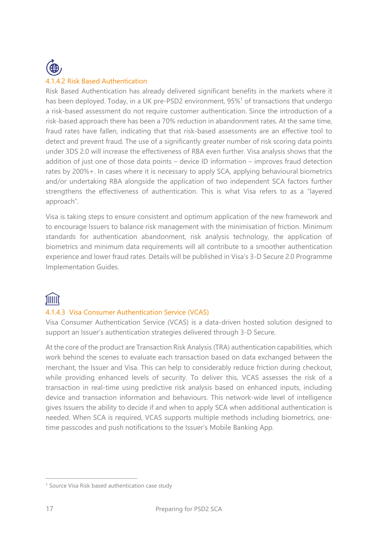

#### 4.1.4.2 Risk Based Authentication

Risk Based Authentication has already delivered significant benefits in the markets where it has been deployed. Today, in a UK pre-PSD2 environment, 95%<sup>1</sup> of transactions that undergo a risk-based assessment do not require customer authentication. Since the introduction of a risk-based approach there has been a 70% reduction in abandonment rates. At the same time, fraud rates have fallen, indicating that that risk-based assessments are an effective tool to detect and prevent fraud. The use of a significantly greater number of risk scoring data points under 3DS 2.0 will increase the effectiveness of RBA even further. Visa analysis shows that the addition of just one of those data points – device ID information – improves fraud detection rates by 200%+. In cases where it is necessary to apply SCA, applying behavioural biometrics and/or undertaking RBA alongside the application of two independent SCA factors further strengthens the effectiveness of authentication. This is what Visa refers to as a "layered approach".

Visa is taking steps to ensure consistent and optimum application of the new framework and to encourage Issuers to balance risk management with the minimisation of friction. Minimum standards for authentication abandonment, risk analysis technology, the application of biometrics and minimum data requirements will all contribute to a smoother authentication experience and lower fraud rates. Details will be published in Visa's 3-D Secure 2.0 Programme Implementation Guides.

### **TIIIIT**

#### 4.1.4.3 Visa Consumer Authentication Service (VCAS)

Visa Consumer Authentication Service (VCAS) is a data-driven hosted solution designed to support an Issuer's authentication strategies delivered through 3-D Secure.

At the core of the product are Transaction Risk Analysis (TRA) authentication capabilities, which work behind the scenes to evaluate each transaction based on data exchanged between the merchant, the Issuer and Visa. This can help to considerably reduce friction during checkout, while providing enhanced levels of security. To deliver this, VCAS assesses the risk of a transaction in real-time using predictive risk analysis based on enhanced inputs, including device and transaction information and behaviours. This network-wide level of intelligence gives Issuers the ability to decide if and when to apply SCA when additional authentication is needed. When SCA is required, VCAS supports multiple methods including biometrics, onetime passcodes and push notifications to the Issuer's Mobile Banking App.

<sup>&</sup>lt;sup>1</sup> Source Visa Risk based authentication case study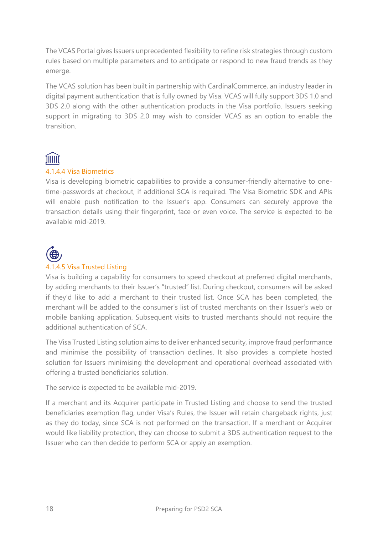The VCAS Portal gives Issuers unprecedented flexibility to refine risk strategies through custom rules based on multiple parameters and to anticipate or respond to new fraud trends as they emerge.

The VCAS solution has been built in partnership with CardinalCommerce, an industry leader in digital payment authentication that is fully owned by Visa. VCAS will fully support 3DS 1.0 and 3DS 2.0 along with the other authentication products in the Visa portfolio. Issuers seeking support in migrating to 3DS 2.0 may wish to consider VCAS as an option to enable the transition.

## JIIIII

#### 4.1.4.4 Visa Biometrics

Visa is developing biometric capabilities to provide a consumer-friendly alternative to onetime-passwords at checkout, if additional SCA is required. The Visa Biometric SDK and APIs will enable push notification to the Issuer's app. Consumers can securely approve the transaction details using their fingerprint, face or even voice. The service is expected to be available mid-2019.



#### 4.1.4.5 Visa Trusted Listing

Visa 
is building a capability for consumers to speed checkout at preferred digital merchants, by adding merchants to their Issuer's "trusted" list. During checkout, consumers will be asked if they'd like to add a merchant to their trusted list. Once SCA has been completed, the merchant will be added to the consumer's list of trusted merchants on their Issuer's web or mobile banking application. Subsequent visits to trusted merchants should not require the additional authentication of SCA.

The Visa Trusted Listing solution aims to deliver enhanced security, improve fraud performance and minimise the possibility of transaction declines. It also provides a complete hosted solution for Issuers minimising the development and operational overhead associated with offering a trusted beneficiaries solution.

The service is expected to be available mid-2019.

If a merchant and its Acquirer participate in Trusted Listing and choose to send the trusted beneficiaries exemption flag, under Visa's Rules, the Issuer will retain chargeback rights, just as they do today, since SCA is not performed on the transaction. If a merchant or Acquirer would like liability protection, they can choose to submit a 3DS authentication request to the Issuer who can then decide to perform SCA or apply an exemption.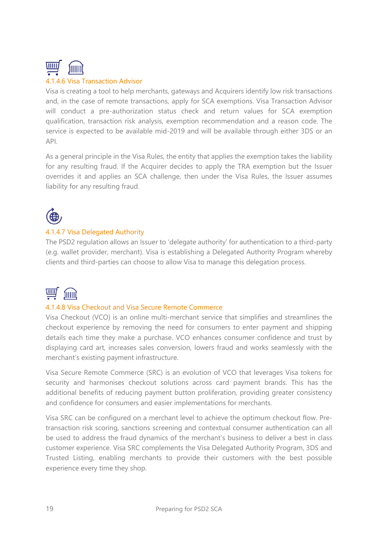

#### 4.1.4.6 Visa Transaction Advisor

Visa is creating a tool to help merchants, gateways and Acquirers identify low risk transactions and, in the case of remote transactions, apply for SCA exemptions. Visa Transaction Advisor will conduct a pre-authorization status check and return values for SCA exemption qualification, transaction risk analysis, exemption recommendation and a reason code. The service is expected to be available mid-2019 and will be available through either 3DS or an API.

As a general principle in the Visa Rules, the entity that applies the exemption takes the liability for any resulting fraud. If the Acquirer decides to apply the TRA exemption but the Issuer overrides it and applies an SCA challenge, then under the Visa Rules, the Issuer assumes liability for any resulting fraud.



#### 4.1.4.7 Visa Delegated Authority

The PSD2 regulation allows an Issuer to 'delegate authority' for authentication to a third-party (e.g. wallet provider, merchant). Visa is establishing a Delegated Authority Program whereby clients and third-parties can choose to allow Visa to manage this delegation process.



#### 4.1.4.8 Visa Checkout and Visa Secure Remote Commerce

Visa Checkout (VCO) is an online multi-merchant service that simplifies and streamlines the checkout experience by removing the need for consumers to enter payment and shipping details each time they make a purchase. VCO enhances consumer confidence and trust by displaying card art, increases sales conversion, lowers fraud and works seamlessly with the merchant's existing payment infrastructure.

Visa Secure Remote Commerce (SRC) is an evolution of VCO that leverages Visa tokens for security and harmonises checkout solutions across card payment brands. This has the additional benefits of reducing payment button proliferation, providing greater consistency and confidence for consumers and easier implementations for merchants.

Visa SRC can be configured on a merchant level to achieve the optimum checkout flow. Pretransaction risk scoring, sanctions screening and contextual consumer authentication can all be used to address the fraud dynamics of the merchant's business to deliver a best in class customer experience. Visa SRC complements the Visa Delegated Authority Program, 3DS and Trusted Listing, enabling merchants to provide their customers with the best possible experience every time they shop.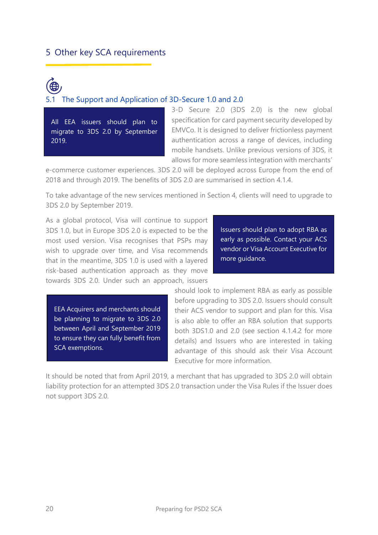#### <span id="page-19-0"></span>5 Other key SCA requirements

## <span id="page-19-1"></span>5.1 The Support and Application of 3D-Secure 1.0 and 2.0

All EEA issuers should plan to migrate to 3DS 2.0 by September 2019.

3-D Secure 2.0 (3DS 2.0) is the new global specification for card payment security developed by EMVCo. It is designed to deliver frictionless payment authentication across a range of devices, including mobile handsets. Unlike previous versions of 3DS, it allows for more seamless integration with merchants'

e-commerce customer experiences. 3DS 2.0 will be deployed across Europe from the end of 2018 and through 2019. The benefits of 3DS 2.0 are summarised in section 4.1.4.

To take advantage of the new services mentioned in Section 4, clients will need to upgrade to 3DS 2.0 by September 2019.

As a global protocol, Visa will continue to support 3DS 1.0, but in Europe 3DS 2.0 is expected to be the most used version. Visa recognises that PSPs may wish to upgrade over time, and Visa recommends that in the meantime, 3DS 1.0 is used with a layered risk-based authentication approach as they move towards 3DS 2.0. Under such an approach, issuers

Issuers should plan to adopt RBA as early as possible. Contact your ACS vendor or Visa Account Executive for more guidance.

EEA Acquirers and merchants should be planning to migrate to 3DS 2.0 between April and September 2019 to ensure they can fully benefit from SCA exemptions.

should look to implement RBA as early as possible before upgrading to 3DS 2.0. Issuers should consult their ACS vendor to support and plan for this. Visa is also able to offer an RBA solution that supports both 3DS1.0 and 2.0 (see section 4.1.4.2 for more details) and Issuers who are interested in taking advantage of this should ask their Visa Account Executive for more information.

It should be noted that from April 2019, a merchant that has upgraded to 3DS 2.0 will obtain liability protection for an attempted 3DS 2.0 transaction under the Visa Rules if the Issuer does not support 3DS 2.0.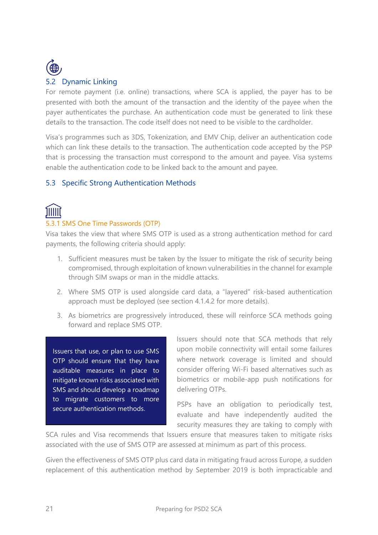

<span id="page-20-0"></span>For remote payment (i.e. online) transactions, where SCA is applied, the payer has to be presented with both the amount of the transaction and the identity of the payee when the payer authenticates the purchase. An authentication code must be generated to link these details to the transaction. The code itself does not need to be visible to the cardholder.

Visa's programmes such as 3DS, Tokenization, and EMV Chip, deliver an authentication code which can link these details to the transaction. The authentication code accepted by the PSP that is processing the transaction must correspond to the amount and payee. Visa systems enable the authentication code to be linked back to the amount and payee.

#### <span id="page-20-1"></span>5.3 Specific Strong Authentication Methods

## <u> הווות</u>

#### 5.3.1 SMS One Time Passwords (OTP)

Visa takes the view that where SMS OTP is used as a strong authentication method for card payments, the following criteria should apply:

- 1. Sufficient measures must be taken by the Issuer to mitigate the risk of security being compromised, through exploitation of known vulnerabilities in the channel for example through SIM swaps or man in the middle attacks.
- 2. Where SMS OTP is used alongside card data, a "layered" risk-based authentication approach must be deployed (see section 4.1.4.2 for more details).
- 3. As biometrics are progressively introduced, these will reinforce SCA methods going forward and replace SMS OTP.

Issuers that use, or plan to use SMS OTP should ensure that they have auditable measures in place to mitigate known risks associated with SMS and should develop a roadmap to migrate customers to more secure authentication methods.

Issuers should note that SCA methods that rely upon mobile connectivity will entail some failures where network coverage is limited and should consider offering Wi-Fi based alternatives such as biometrics or mobile-app push notifications for delivering OTPs.

PSPs have an obligation to periodically test, evaluate and have independently audited the security measures they are taking to comply with

SCA rules and Visa recommends that Issuers ensure that measures taken to mitigate risks associated with the use of SMS OTP are assessed at minimum as part of this process.

Given the effectiveness of SMS OTP plus card data in mitigating fraud across Europe, a sudden replacement of this authentication method by September 2019 is both impracticable and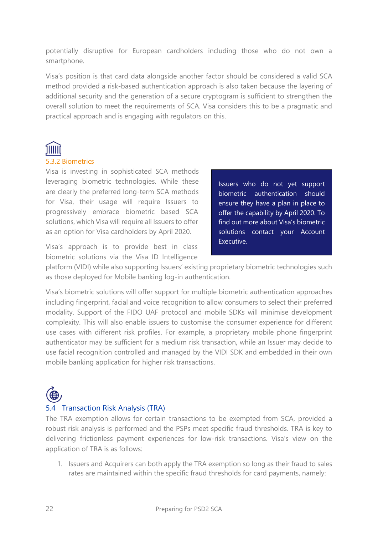potentially disruptive for European cardholders including those who do not own a smartphone.

Visa's position is that card data alongside another factor should be considered a valid SCA method provided a risk-based authentication approach is also taken because the layering of additional security and the generation of a secure cryptogram is sufficient to strengthen the overall solution to meet the requirements of SCA. Visa considers this to be a pragmatic and practical approach and is engaging with regulators on this.

## <u>ווווווז</u>

#### 5.3.2 Biometrics

Visa is investing in sophisticated SCA methods leveraging biometric technologies. While these are clearly the preferred long-term SCA methods for Visa, their usage will require Issuers to progressively embrace biometric based SCA solutions, which Visa will require all Issuers to offer as an option for Visa cardholders by April 2020.

Visa's approach is to provide best in class biometric solutions via the Visa ID Intelligence Issuers who do not yet support biometric authentication should ensure they have a plan in place to offer the capability by April 2020. To find out more about Visa's biometric solutions contact your Account Executive.

platform (VIDI) while also supporting Issuers' existing proprietary biometric technologies such as those deployed for Mobile banking log-in authentication.

Visa's biometric solutions will offer support for multiple biometric authentication approaches including fingerprint, facial and voice recognition to allow consumers to select their preferred modality. Support of the FIDO UAF protocol and mobile SDKs will minimise development complexity. This will also enable issuers to customise the consumer experience for different use cases with different risk profiles. For example, a proprietary mobile phone fingerprint authenticator may be sufficient for a medium risk transaction, while an Issuer may decide to use facial recognition controlled and managed by the VIDI SDK and embedded in their own mobile banking application for higher risk transactions.

#### <span id="page-21-0"></span>5.4 Transaction Risk Analysis (TRA)

The TRA exemption allows for certain transactions to be exempted from SCA, provided a robust risk analysis is performed and the PSPs meet specific fraud thresholds. TRA is key to delivering frictionless payment experiences for low-risk transactions. Visa's view on the application of TRA is as follows:

1. Issuers and Acquirers can both apply the TRA exemption so long as their fraud to sales rates are maintained within the specific fraud thresholds for card payments, namely: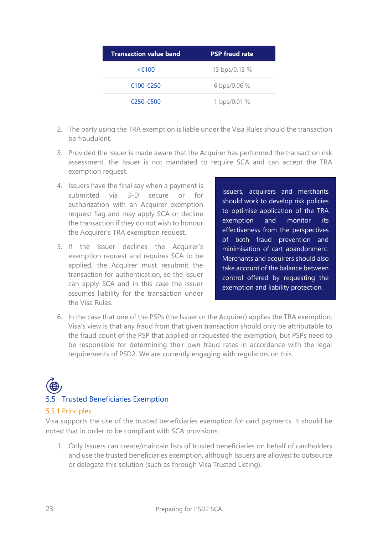| <b>Transaction value band</b> | <b>PSP fraud rate</b> |
|-------------------------------|-----------------------|
| $\leq$ (100                   | 13 bps/0.13 %         |
| $€100-F250$                   | 6 bps/0.06 %          |
| $€250 - €500$                 | 1 bps/0.01 %          |

- 2. The party using the TRA exemption is liable under the Visa Rules should the transaction be fraudulent.
- 3. Provided the Issuer is made aware that the Acquirer has performed the transaction risk assessment, the Issuer is not mandated to require SCA and can accept the TRA exemption request.
- 4. Issuers have the final say when a payment is submitted via 3-D secure or for authorization with an Acquirer exemption request flag and may apply SCA or decline the transaction if they do not wish to honour the Acquirer's TRA exemption request.
- 5. If the Issuer declines the Acquirer's exemption request and requires SCA to be applied, the Acquirer must resubmit the transaction for authentication, so the Issuer can apply SCA and in this case the Issuer assumes liability for the transaction under the Visa Rules.

Issuers, acquirers and merchants should work to develop risk policies to optimise application of the TRA exemption and monitor its effectiveness from the perspectives of both fraud prevention and minimisation of cart abandonment. Merchants and acquirers should also take account of the balance between control offered by requesting the exemption and liability protection.

6. In the case that one of the PSPs (the Issuer or the Acquirer) applies the TRA exemption, Visa's view is that any fraud from that given transaction should only be attributable to the fraud count of the PSP that applied or requested the exemption, but PSPs need to be responsible for determining their own fraud rates in accordance with the legal requirements of PSD2. We are currently engaging with regulators on this.

# 5.5 Trusted Beneficiaries Exemption

#### <span id="page-22-0"></span>5.5.1 Principles

Visa supports the use of the trusted beneficiaries exemption for card payments. It should be noted that in order to be compliant with SCA provisions:

1. Only Issuers can create/maintain lists of trusted beneficiaries on behalf of cardholders and use the trusted beneficiaries exemption, although Issuers are allowed to outsource or delegate this solution (such as through Visa Trusted Listing).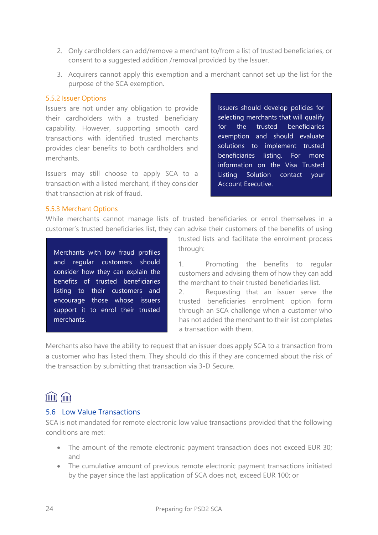- 2. Only cardholders can add/remove a merchant to/from a list of trusted beneficiaries, or consent to a suggested addition /removal provided by the Issuer.
- 3. Acquirers cannot apply this exemption and a merchant cannot set up the list for the purpose of the SCA exemption.

#### 5.5.2 Issuer Options

Issuers are not under any obligation to provide their cardholders with a trusted beneficiary capability. However, supporting smooth card transactions with identified trusted merchants provides clear benefits to both cardholders and merchants.

Issuers may still choose to apply SCA to a transaction with a listed merchant, if they consider that transaction at risk of fraud.

Issuers should develop policies for selecting merchants that will qualify for the trusted beneficiaries exemption and should evaluate solutions to implement trusted beneficiaries listing. For more information on the Visa Trusted Listing Solution contact your Account Executive.

#### 5.5.3 Merchant Options

While merchants cannot manage lists of trusted beneficiaries or enrol themselves in a customer's trusted beneficiaries list, they can advise their customers of the benefits of using

Merchants with low fraud profiles and regular customers should consider how they can explain the benefits of trusted beneficiaries listing to their customers and encourage those whose issuers support it to enrol their trusted merchants.

trusted lists and facilitate the enrolment process through:

1. Promoting the benefits to regular customers and advising them of how they can add the merchant to their trusted beneficiaries list.

2. Requesting that an issuer serve the trusted beneficiaries enrolment option form through an SCA challenge when a customer who has not added the merchant to their list completes a transaction with them.

Merchants also have the ability to request that an issuer does apply SCA to a transaction from a customer who has listed them. They should do this if they are concerned about the risk of the transaction by submitting that transaction via 3-D Secure.

#### JIIIII, JIIIII

#### <span id="page-23-0"></span>5.6 Low Value Transactions

SCA is not mandated for remote electronic low value transactions provided that the following conditions are met:

- The amount of the remote electronic payment transaction does not exceed EUR 30; and
- The cumulative amount of previous remote electronic payment transactions initiated by the payer since the last application of SCA does not, exceed EUR 100; or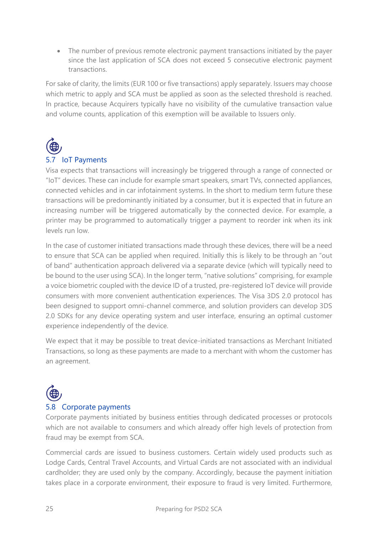• The number of previous remote electronic payment transactions initiated by the payer since the last application of SCA does not exceed 5 consecutive electronic payment transactions.

For sake of clarity, the limits (EUR 100 or five transactions) apply separately. Issuers may choose which metric to apply and SCA must be applied as soon as the selected threshold is reached. In practice, because Acquirers typically have no visibility of the cumulative transaction value and volume counts, application of this exemption will be available to Issuers only.



#### <span id="page-24-0"></span>5.7 IoT Payments

Visa expects that transactions will increasingly be triggered through a range of connected or "IoT" devices. These can include for example smart speakers, smart TVs, connected appliances, connected vehicles and in car infotainment systems. In the short to medium term future these transactions will be predominantly initiated by a consumer, but it is expected that in future an increasing number will be triggered automatically by the connected device. For example, a printer may be programmed to automatically trigger a payment to reorder ink when its ink levels run low.

In the case of customer initiated transactions made through these devices, there will be a need to ensure that SCA can be applied when required. Initially this is likely to be through an "out of band" authentication approach delivered via a separate device (which will typically need to be bound to the user using SCA). In the longer term, "native solutions" comprising, for example a voice biometric coupled with the device ID of a trusted, pre-registered IoT device will provide consumers with more convenient authentication experiences. The Visa 3DS 2.0 protocol has been designed to support omni-channel commerce, and solution providers can develop 3DS 2.0 SDKs for any device operating system and user interface, ensuring an optimal customer experience independently of the device.

We expect that it may be possible to treat device-initiated transactions as Merchant Initiated Transactions, so long as these payments are made to a merchant with whom the customer has an agreement.



#### <span id="page-24-1"></span>5.8 Corporate payments

Corporate payments initiated by business entities through dedicated processes or protocols which are not available to consumers and which already offer high levels of protection from fraud may be exempt from SCA.

Commercial cards are issued to business customers. Certain widely used products such as Lodge Cards, Central Travel Accounts, and Virtual Cards are not associated with an individual cardholder; they are used only by the company. Accordingly, because the payment initiation takes place in a corporate environment, their exposure to fraud is very limited. Furthermore,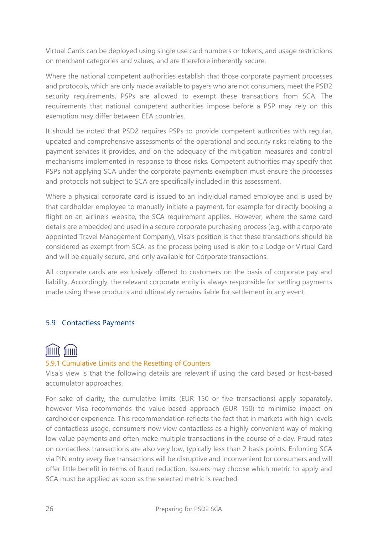Virtual Cards can be deployed using single use card numbers or tokens, and usage restrictions on merchant categories and values, and are therefore inherently secure.

Where the national competent authorities establish that those corporate payment processes and protocols, which are only made available to payers who are not consumers, meet the PSD2 security requirements, PSPs are allowed to exempt these transactions from SCA. The requirements that national competent authorities impose before a PSP may rely on this exemption may differ between EEA countries.

It should be noted that PSD2 requires PSPs to provide competent authorities with regular, updated and comprehensive assessments of the operational and security risks relating to the payment services it provides, and on the adequacy of the mitigation measures and control mechanisms implemented in response to those risks. Competent authorities may specify that PSPs not applying SCA under the corporate payments exemption must ensure the processes and protocols not subject to SCA are specifically included in this assessment.

Where a physical corporate card is issued to an individual named employee and is used by that cardholder employee to manually initiate a payment, for example for directly booking a flight on an airline's website, the SCA requirement applies. However, where the same card details are embedded and used in a secure corporate purchasing process (e.g. with a corporate appointed Travel Management Company), Visa's position is that these transactions should be considered as exempt from SCA, as the process being used is akin to a Lodge or Virtual Card and will be equally secure, and only available for Corporate transactions.

All corporate cards are exclusively offered to customers on the basis of corporate pay and liability. Accordingly, the relevant corporate entity is always responsible for settling payments made using these products and ultimately remains liable for settlement in any event.

#### <span id="page-25-0"></span>5.9 Contactless Payments

## filling filling

#### 5.9.1 Cumulative Limits and the Resetting of Counters

Visa's view is that the following details are relevant if using the card based or host-based accumulator approaches.

For sake of clarity, the cumulative limits (EUR 150 or five transactions) apply separately, however Visa recommends the value-based approach (EUR 150) to minimise impact on cardholder experience. This recommendation reflects the fact that in markets with high levels of contactless usage, consumers now view contactless as a highly convenient way of making low value payments and often make multiple transactions in the course of a day. Fraud rates on contactless transactions are also very low, typically less than 2 basis points. Enforcing SCA via PIN entry every five transactions will be disruptive and inconvenient for consumers and will offer little benefit in terms of fraud reduction. Issuers may choose which metric to apply and SCA must be applied as soon as the selected metric is reached.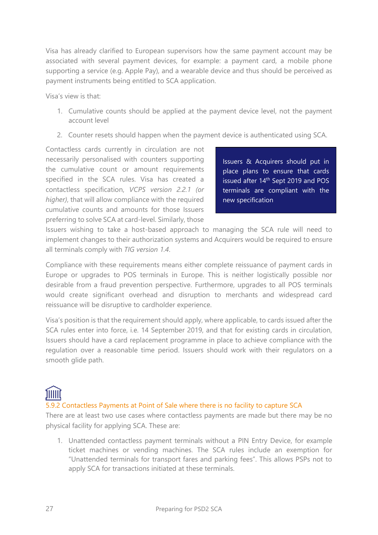Visa has already clarified to European supervisors how the same payment account may be associated with several payment devices, for example: a payment card, a mobile phone supporting a service (e.g. Apple Pay), and a wearable device and thus should be perceived as payment instruments being entitled to SCA application.

Visa's view is that:

- 1. Cumulative counts should be applied at the payment device level, not the payment account level
- 2. Counter resets should happen when the payment device is authenticated using SCA.

Contactless cards currently in circulation are not necessarily personalised with counters supporting the cumulative count or amount requirements specified in the SCA rules. Visa has created a contactless specification, *VCPS version 2.2.1 (or higher)*, that will allow compliance with the required cumulative counts and amounts for those Issuers preferring to solve SCA at card-level. Similarly, those

Issuers & Acquirers should put in place plans to ensure that cards issued after 14<sup>th</sup> Sept 2019 and POS terminals are compliant with the new specification

Issuers wishing to take a host-based approach to managing the SCA rule will need to implement changes to their authorization systems and Acquirers would be required to ensure all terminals comply with *TIG version 1.4*.

Compliance with these requirements means either complete reissuance of payment cards in Europe or upgrades to POS terminals in Europe. This is neither logistically possible nor desirable from a fraud prevention perspective. Furthermore, upgrades to all POS terminals would create significant overhead and disruption to merchants and widespread card reissuance will be disruptive to cardholder experience.

Visa's position is that the requirement should apply, where applicable, to cards issued after the SCA rules enter into force, i.e. 14 September 2019, and that for existing cards in circulation, Issuers should have a card replacement programme in place to achieve compliance with the regulation over a reasonable time period. Issuers should work with their regulators on a smooth glide path.

## <u>הווות</u>

#### 5.9.2 Contactless Payments at Point of Sale where there is no facility to capture SCA

There are at least two use cases where contactless payments are made but there may be no physical facility for applying SCA. These are:

1. Unattended contactless payment terminals without a PIN Entry Device, for example ticket machines or vending machines. The SCA rules include an exemption for "Unattended terminals for transport fares and parking fees". This allows PSPs not to apply SCA for transactions initiated at these terminals.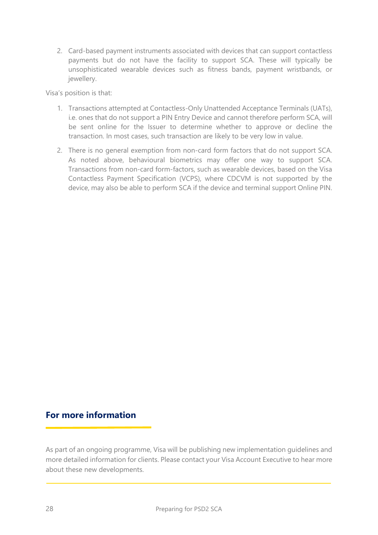2. Card-based payment instruments associated with devices that can support contactless payments but do not have the facility to support SCA. These will typically be unsophisticated wearable devices such as fitness bands, payment wristbands, or jewellery.

Visa's position is that:

- 1. Transactions attempted at Contactless-Only Unattended Acceptance Terminals (UATs), i.e. ones that do not support a PIN Entry Device and cannot therefore perform SCA, will be sent online for the Issuer to determine whether to approve or decline the transaction. In most cases, such transaction are likely to be very low in value.
- 2. There is no general exemption from non-card form factors that do not support SCA. As noted above, behavioural biometrics may offer one way to support SCA. Transactions from non-card form-factors, such as wearable devices, based on the Visa Contactless Payment Specification (VCPS), where CDCVM is not supported by the device, may also be able to perform SCA if the device and terminal support Online PIN.

#### **For more information**

As part of an ongoing programme, Visa will be publishing new implementation guidelines and more detailed information for clients. Please contact your Visa Account Executive to hear more about these new developments.